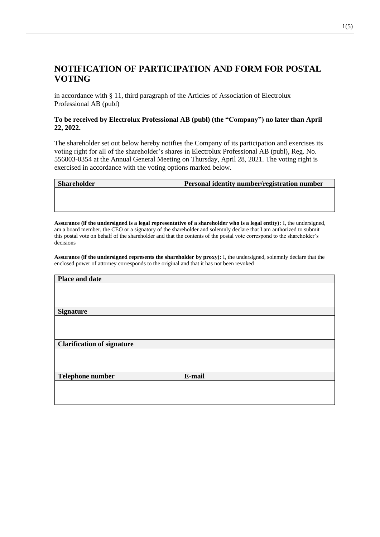# **NOTIFICATION OF PARTICIPATION AND FORM FOR POSTAL VOTING**

in accordance with § 11, third paragraph of the Articles of Association of Electrolux Professional AB (publ)

### **To be received by Electrolux Professional AB (publ) (the "Company") no later than April 22, 2022.**

The shareholder set out below hereby notifies the Company of its participation and exercises its voting right for all of the shareholder's shares in Electrolux Professional AB (publ), Reg. No. 556003-0354 at the Annual General Meeting on Thursday, April 28, 2021. The voting right is exercised in accordance with the voting options marked below.

| <b>Shareholder</b> | Personal identity number/registration number |
|--------------------|----------------------------------------------|
|                    |                                              |
|                    |                                              |
|                    |                                              |

**Assurance (if the undersigned is a legal representative of a shareholder who is a legal entity):** I, the undersigned, am a board member, the CEO or a signatory of the shareholder and solemnly declare that I am authorized to submit this postal vote on behalf of the shareholder and that the contents of the postal vote correspond to the shareholder's decisions

**Assurance (if the undersigned represents the shareholder by proxy):** I, the undersigned, solemnly declare that the enclosed power of attorney corresponds to the original and that it has not been revoked

| Place and date                    |        |
|-----------------------------------|--------|
|                                   |        |
|                                   |        |
|                                   |        |
| <b>Signature</b>                  |        |
|                                   |        |
|                                   |        |
|                                   |        |
| <b>Clarification of signature</b> |        |
|                                   |        |
|                                   |        |
|                                   |        |
| <b>Telephone number</b>           | E-mail |
|                                   |        |
|                                   |        |
|                                   |        |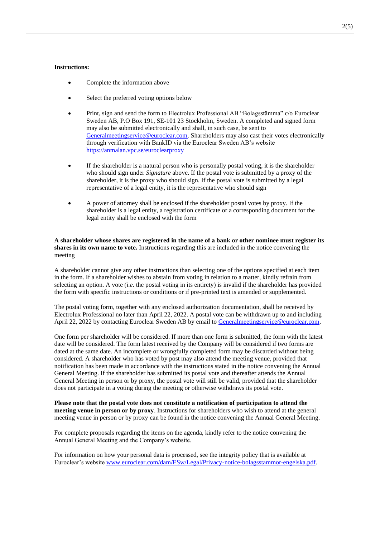#### **Instructions:**

- Complete the information above
- Select the preferred voting options below
- Print, sign and send the form to Electrolux Professional AB "Bolagsstämma" c/o Euroclear Sweden AB, P.O Box 191, SE-101 23 Stockholm, Sweden. A completed and signed form may also be submitted electronically and shall, in such case, be sent to [Generalmeetingservice@euroclear.com.](mailto:Generalmeetingservice@euroclear.com) Shareholders may also cast their votes electronically through verification with BankID via the Euroclear Sweden AB's website <https://anmalan.vpc.se/euroclearproxy>
- If the shareholder is a natural person who is personally postal voting, it is the shareholder who should sign under *Signature* above. If the postal vote is submitted by a proxy of the shareholder, it is the proxy who should sign. If the postal vote is submitted by a legal representative of a legal entity, it is the representative who should sign
- A power of attorney shall be enclosed if the shareholder postal votes by proxy. If the shareholder is a legal entity, a registration certificate or a corresponding document for the legal entity shall be enclosed with the form

**A shareholder whose shares are registered in the name of a bank or other nominee must register its shares in its own name to vote.** Instructions regarding this are included in the notice convening the meeting

A shareholder cannot give any other instructions than selecting one of the options specified at each item in the form. If a shareholder wishes to abstain from voting in relation to a matter, kindly refrain from selecting an option. A vote (*i.e.* the postal voting in its entirety) is invalid if the shareholder has provided the form with specific instructions or conditions or if pre-printed text is amended or supplemented.

The postal voting form, together with any enclosed authorization documentation, shall be received by Electrolux Professional no later than April 22, 2022. A postal vote can be withdrawn up to and including April 22, 2022 by contacting Euroclear Sweden AB by email to [Generalmeetingservice@euroclear.com.](mailto:Generalmeetingservice@euroclear.com)

One form per shareholder will be considered. If more than one form is submitted, the form with the latest date will be considered. The form latest received by the Company will be considered if two forms are dated at the same date. An incomplete or wrongfully completed form may be discarded without being considered. A shareholder who has voted by post may also attend the meeting venue, provided that notification has been made in accordance with the instructions stated in the notice convening the Annual General Meeting. If the shareholder has submitted its postal vote and thereafter attends the Annual General Meeting in person or by proxy, the postal vote will still be valid, provided that the shareholder does not participate in a voting during the meeting or otherwise withdraws its postal vote.

**Please note that the postal vote does not constitute a notification of participation to attend the meeting venue in person or by proxy**. Instructions for shareholders who wish to attend at the general meeting venue in person or by proxy can be found in the notice convening the Annual General Meeting.

For complete proposals regarding the items on the agenda, kindly refer to the notice convening the Annual General Meeting and the Company's website.

For information on how your personal data is processed, see the integrity policy that is available at Euroclear's websit[e www.euroclear.com/dam/ESw/Legal/Privacy-notice-bolagsstammor-engelska.pdf.](http://www.euroclear.com/dam/ESw/Legal/Privacy-notice-bolagsstammor-engelska.pdf)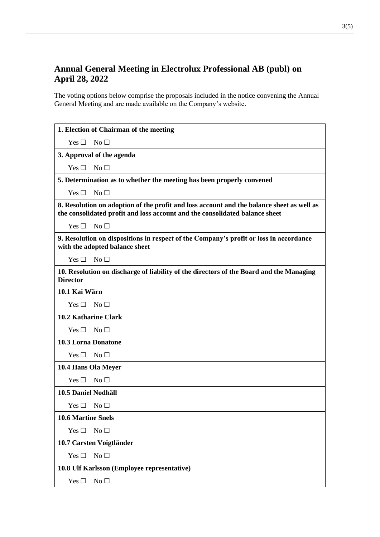# **Annual General Meeting in Electrolux Professional AB (publ) on April 28, 2022**

The voting options below comprise the proposals included in the notice convening the Annual General Meeting and are made available on the Company's website.

| 1. Election of Chairman of the meeting                                                                                                                                   |
|--------------------------------------------------------------------------------------------------------------------------------------------------------------------------|
| Yes $\square$<br>No <sub>1</sub>                                                                                                                                         |
| 3. Approval of the agenda                                                                                                                                                |
| No <sub>1</sub><br>Yes $\Box$                                                                                                                                            |
| 5. Determination as to whether the meeting has been properly convened                                                                                                    |
| No <sub>1</sub><br>Yes $\Box$                                                                                                                                            |
| 8. Resolution on adoption of the profit and loss account and the balance sheet as well as<br>the consolidated profit and loss account and the consolidated balance sheet |
| Yes $\square$<br>$\mathrm{No}\ \Box$                                                                                                                                     |
| 9. Resolution on dispositions in respect of the Company's profit or loss in accordance<br>with the adopted balance sheet                                                 |
| Yes $\square$<br>No <sub>1</sub>                                                                                                                                         |
| 10. Resolution on discharge of liability of the directors of the Board and the Managing<br><b>Director</b>                                                               |
| 10.1 Kai Wärn                                                                                                                                                            |
| $Yes \Box No \Box$                                                                                                                                                       |
| <b>10.2 Katharine Clark</b>                                                                                                                                              |
| No <sub>1</sub><br>Yes $\Box$                                                                                                                                            |
| <b>10.3 Lorna Donatone</b>                                                                                                                                               |
| Yes $\square$<br>No $\Box$                                                                                                                                               |
| 10.4 Hans Ola Meyer                                                                                                                                                      |
| No <sub>1</sub><br>Yes $\Box$                                                                                                                                            |
| 10.5 Daniel Nodhäll                                                                                                                                                      |
| Yes $\square$<br>No $\Box$                                                                                                                                               |
| <b>10.6 Martine Snels</b>                                                                                                                                                |
| No <sub>1</sub><br>Yes $\Box$                                                                                                                                            |
| 10.7 Carsten Voigtländer                                                                                                                                                 |
| No <sub>1</sub><br>Yes $\square$                                                                                                                                         |
| 10.8 Ulf Karlsson (Employee representative)                                                                                                                              |
| Yes $\square$<br>No <sub>1</sub>                                                                                                                                         |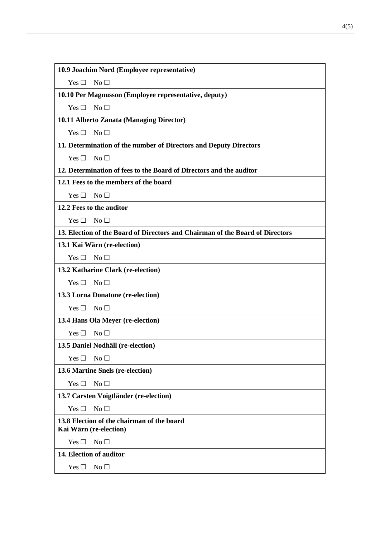| 10.9 Joachim Nord (Employee representative) |  |
|---------------------------------------------|--|
|---------------------------------------------|--|

Yes □ No □

**10.10 Per Magnusson (Employee representative, deputy)**

Yes □ No □

**10.11 Alberto Zanata (Managing Director)**

Yes □ No □

**11. Determination of the number of Directors and Deputy Directors**

Yes □ No □

**12. Determination of fees to the Board of Directors and the auditor**

**12.1 Fees to the members of the board**

 $Yes \Box No \Box$ 

**12.2 Fees to the auditor**

 $Yes \Box No \Box$ 

**13. Election of the Board of Directors and Chairman of the Board of Directors**

**13.1 Kai Wärn (re-election)**

 $Yes \Box No \Box$ 

**13.2 Katharine Clark (re-election)**

Yes □ No □

**13.3 Lorna Donatone (re-election)**

Yes □ No □

**13.4 Hans Ola Meyer (re-election)**

Yes □ No □

**13.5 Daniel Nodhäll (re-election)**

Yes □ No □

**13.6 Martine Snels (re-election)**

 $Yes \Box No \Box$ 

**13.7 Carsten Voigtländer (re-election)**

 $Yes \Box No \Box$ 

**13.8 Election of the chairman of the board Kai Wärn (re-election)**

Yes □ No □

**14. Election of auditor**

 $Yes \Box No \Box$